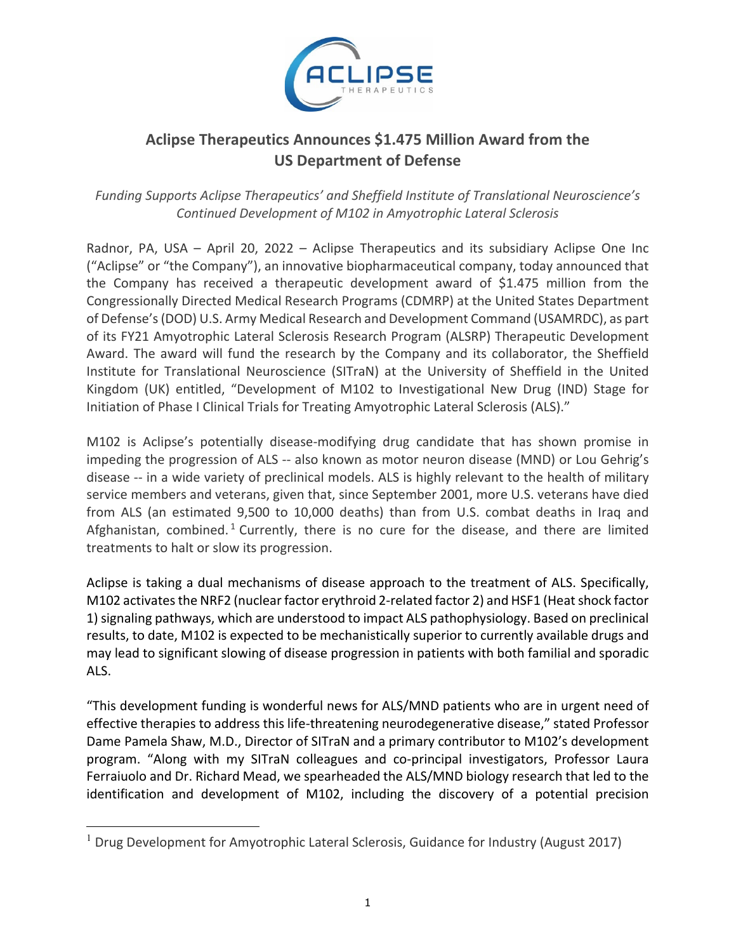

# **Aclipse Therapeutics Announces \$1.475 Million Award from the US Department of Defense**

*Funding Supports Aclipse Therapeutics' and Sheffield Institute of Translational Neuroscience's Continued Development of M102 in Amyotrophic Lateral Sclerosis* 

Radnor, PA, USA – April 20, 2022 – Aclipse Therapeutics and its subsidiary Aclipse One Inc ("Aclipse" or "the Company"), an innovative biopharmaceutical company, today announced that the Company has received a therapeutic development award of \$1.475 million from the Congressionally Directed Medical Research Programs (CDMRP) at the United States Department of Defense's(DOD) U.S. Army Medical Research and Development Command (USAMRDC), as part of its FY21 Amyotrophic Lateral Sclerosis Research Program (ALSRP) Therapeutic Development Award. The award will fund the research by the Company and its collaborator, the Sheffield Institute for Translational Neuroscience (SITraN) at the University of Sheffield in the United Kingdom (UK) entitled, "Development of M102 to Investigational New Drug (IND) Stage for Initiation of Phase I Clinical Trials for Treating Amyotrophic Lateral Sclerosis (ALS)."

M102 is Aclipse's potentially disease-modifying drug candidate that has shown promise in impeding the progression of ALS -- also known as motor neuron disease (MND) or Lou Gehrig's disease ‐‐ in a wide variety of preclinical models. ALS is highly relevant to the health of military service members and veterans, given that, since September 2001, more U.S. veterans have died from ALS (an estimated 9,500 to 10,000 deaths) than from U.S. combat deaths in Iraq and Afghanistan, combined.<sup>1</sup> Currently, there is no cure for the disease, and there are limited treatments to halt or slow its progression.

Aclipse is taking a dual mechanisms of disease approach to the treatment of ALS. Specifically, M102 activates the NRF2 (nuclear factor erythroid 2-related factor 2) and HSF1 (Heat shock factor 1) signaling pathways, which are understood to impact ALS pathophysiology. Based on preclinical results, to date, M102 is expected to be mechanistically superior to currently available drugs and may lead to significant slowing of disease progression in patients with both familial and sporadic ALS.

"This development funding is wonderful news for ALS/MND patients who are in urgent need of effective therapies to address this life‐threatening neurodegenerative disease," stated Professor Dame Pamela Shaw, M.D., Director of SITraN and a primary contributor to M102's development program. "Along with my SITraN colleagues and co-principal investigators, Professor Laura Ferraiuolo and Dr. Richard Mead, we spearheaded the ALS/MND biology research that led to the identification and development of M102, including the discovery of a potential precision

<sup>&</sup>lt;sup>1</sup> Drug Development for Amyotrophic Lateral Sclerosis, Guidance for Industry (August 2017)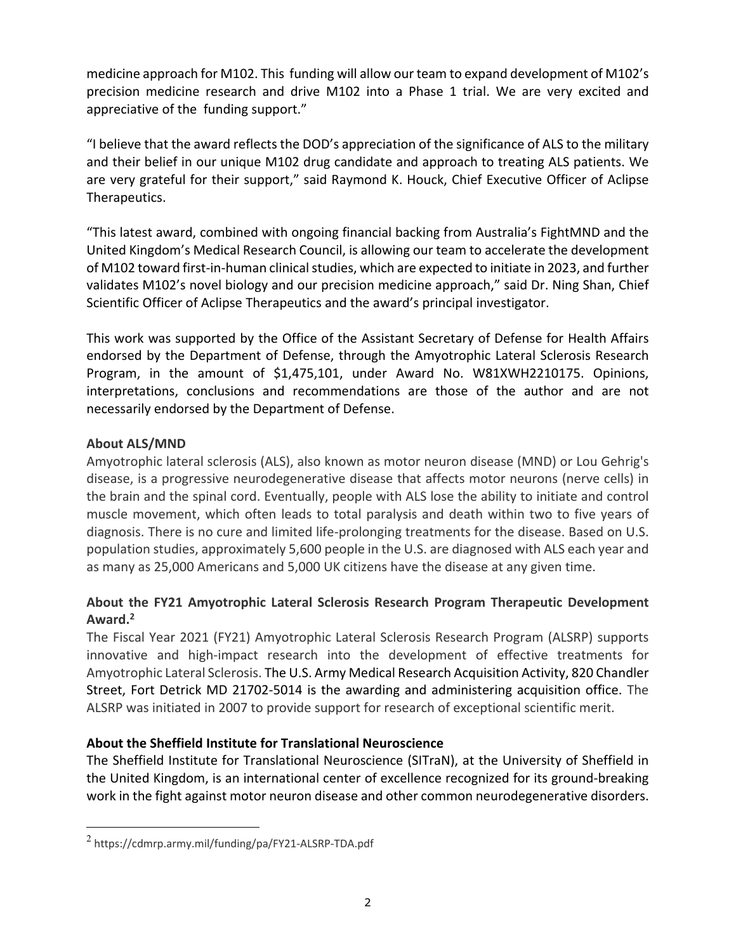medicine approach for M102. This funding will allow our team to expand development of M102's precision medicine research and drive M102 into a Phase 1 trial. We are very excited and appreciative of the funding support."

"I believe that the award reflects the DOD's appreciation of the significance of ALS to the military and their belief in our unique M102 drug candidate and approach to treating ALS patients. We are very grateful for their support," said Raymond K. Houck, Chief Executive Officer of Aclipse Therapeutics.

"This latest award, combined with ongoing financial backing from Australia's FightMND and the United Kingdom's Medical Research Council, is allowing our team to accelerate the development of M102 toward first-in-human clinical studies, which are expected to initiate in 2023, and further validates M102's novel biology and our precision medicine approach," said Dr. Ning Shan, Chief Scientific Officer of Aclipse Therapeutics and the award's principal investigator.

This work was supported by the Office of the Assistant Secretary of Defense for Health Affairs endorsed by the Department of Defense, through the Amyotrophic Lateral Sclerosis Research Program, in the amount of \$1,475,101, under Award No. W81XWH2210175. Opinions, interpretations, conclusions and recommendations are those of the author and are not necessarily endorsed by the Department of Defense.

#### **About ALS/MND**

Amyotrophic lateral sclerosis (ALS), also known as motor neuron disease (MND) or Lou Gehrig's disease, is a progressive neurodegenerative disease that affects motor neurons (nerve cells) in the brain and the spinal cord. Eventually, people with ALS lose the ability to initiate and control muscle movement, which often leads to total paralysis and death within two to five years of diagnosis. There is no cure and limited life‐prolonging treatments for the disease. Based on U.S. population studies, approximately 5,600 people in the U.S. are diagnosed with ALS each year and as many as 25,000 Americans and 5,000 UK citizens have the disease at any given time.

## **About the FY21 Amyotrophic Lateral Sclerosis Research Program Therapeutic Development** Award.<sup>2</sup>

The Fiscal Year 2021 (FY21) Amyotrophic Lateral Sclerosis Research Program (ALSRP) supports innovative and high-impact research into the development of effective treatments for Amyotrophic Lateral Sclerosis. The U.S. Army Medical Research Acquisition Activity, 820 Chandler Street, Fort Detrick MD 21702‐5014 is the awarding and administering acquisition office. The ALSRP was initiated in 2007 to provide support for research of exceptional scientific merit.

## **About the Sheffield Institute for Translational Neuroscience**

The Sheffield Institute for Translational Neuroscience (SITraN), at the University of Sheffield in the United Kingdom, is an international center of excellence recognized for its ground‐breaking work in the fight against motor neuron disease and other common neurodegenerative disorders.

<sup>2</sup> https://cdmrp.army.mil/funding/pa/FY21‐ALSRP‐TDA.pdf